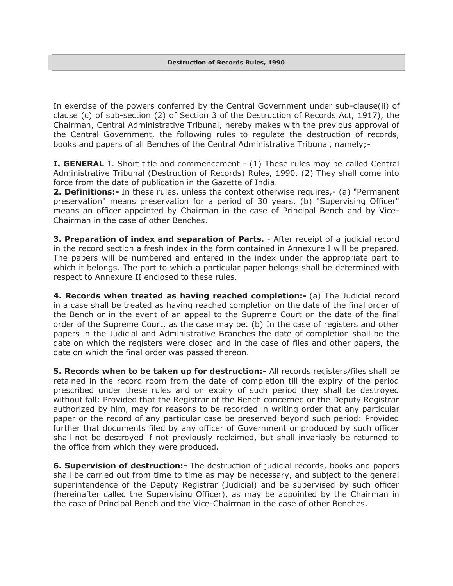In exercise of the powers conferred by the Central Government under sub-clause(ii) of clause (c) of sub-section (2) of Section 3 of the Destruction of Records Act, 1917), the Chairman, Central Administrative Tribunal, hereby makes with the previous approval of the Central Government, the following rules to regulate the destruction of records, books and papers of all Benches of the Central Administrative Tribunal, namely;-

**I. GENERAL** 1. Short title and commencement - (1) These rules may be called Central Administrative Tribunal (Destruction of Records) Rules, 1990. (2) They shall come into force from the date of publication in the Gazette of India.

**2. Definitions:-** In these rules, unless the context otherwise requires,- (a) "Permanent preservation" means preservation for a period of 30 years. (b) "Supervising Officer" means an officer appointed by Chairman in the case of Principal Bench and by Vice-Chairman in the case of other Benches.

**3. Preparation of index and separation of Parts.** - After receipt of a judicial record in the record section a fresh index in the form contained in Annexure I will be prepared. The papers will be numbered and entered in the index under the appropriate part to which it belongs. The part to which a particular paper belongs shall be determined with respect to Annexure II enclosed to these rules.

**4. Records when treated as having reached completion:-** (a) The Judicial record in a case shall be treated as having reached completion on the date of the final order of the Bench or in the event of an appeal to the Supreme Court on the date of the final order of the Supreme Court, as the case may be. (b) In the case of registers and other papers in the Judicial and Administrative Branches the date of completion shall be the date on which the registers were closed and in the case of files and other papers, the date on which the final order was passed thereon.

**5. Records when to be taken up for destruction:-** All records registers/files shall be retained in the record room from the date of completion till the expiry of the period prescribed under these rules and on expiry of such period they shall be destroyed without fall: Provided that the Registrar of the Bench concerned or the Deputy Registrar authorized by him, may for reasons to be recorded in writing order that any particular paper or the record of any particular case be preserved beyond such period: Provided further that documents filed by any officer of Government or produced by such officer shall not be destroyed if not previously reclaimed, but shall invariably be returned to the office from which they were produced.

**6. Supervision of destruction:-** The destruction of judicial records, books and papers shall be carried out from time to time as may be necessary, and subject to the general superintendence of the Deputy Registrar (Judicial) and be supervised by such officer (hereinafter called the Supervising Officer), as may be appointed by the Chairman in the case of Principal Bench and the Vice-Chairman in the case of other Benches.